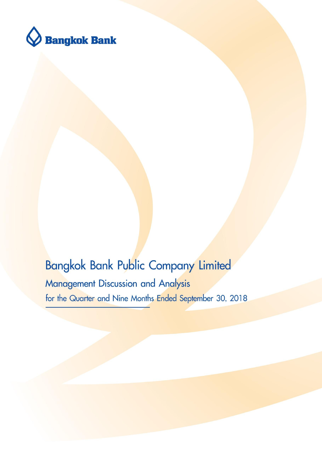

# **Bangkok Bank Public Company Limited** Management Discussion and Analysis for the Quarter and Nine Months Ended September 30, 2018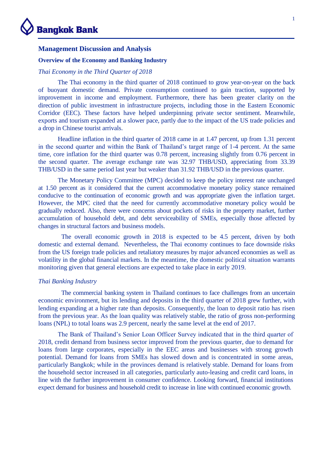

### **Management Discussion and Analysis**

#### **Overview of the Economy and Banking Industry**

# *Thai Economy in the Third Quarter of 2018*

The Thai economy in the third quarter of 2018 continued to grow year-on-year on the back of buoyant domestic demand. Private consumption continued to gain traction, supported by improvement in income and employment. Furthermore, there has been greater clarity on the direction of public investment in infrastructure projects, including those in the Eastern Economic Corridor (EEC). These factors have helped underpinning private sector sentiment. Meanwhile, exports and tourism expanded at a slower pace, partly due to the impact of the US trade policies and a drop in Chinese tourist arrivals.

Headline inflation in the third quarter of 2018 came in at 1.47 percent, up from 1.31 percent in the second quarter and within the Bank of Thailand's target range of 1-4 percent. At the same time, core inflation for the third quarter was 0.78 percent, increasing slightly from 0.76 percent in the second quarter. The average exchange rate was 32.97 THB/USD, appreciating from 33.39 THB/USD in the same period last year but weaker than 31.92 THB/USD in the previous quarter.

The Monetary Policy Committee (MPC) decided to keep the policy interest rate unchanged at 1.50 percent as it considered that the current accommodative monetary policy stance remained conducive to the continuation of economic growth and was appropriate given the inflation target. However, the MPC cited that the need for currently accommodative monetary policy would be gradually reduced. Also, there were concerns about pockets of risks in the property market, further accumulation of household debt, and debt serviceability of SMEs, especially those affected by changes in structural factors and business models.

The overall economic growth in 2018 is expected to be 4.5 percent, driven by both domestic and external demand. Nevertheless, the Thai economy continues to face downside risks from the US foreign trade policies and retaliatory measures by major advanced economies as well as volatility in the global financial markets. In the meantime, the domestic political situation warrants monitoring given that general elections are expected to take place in early 2019.

# *Thai Banking Industry*

The commercial banking system in Thailand continues to face challenges from an uncertain economic environment, but its lending and deposits in the third quarter of 2018 grew further, with lending expanding at a higher rate than deposits. Consequently, the loan to deposit ratio has risen from the previous year. As the loan quality was relatively stable, the ratio of gross non-performing loans (NPL) to total loans was 2.9 percent, nearly the same level at the end of 2017.

The Bank of Thailand's Senior Loan Officer Survey indicated that in the third quarter of 2018, credit demand from business sector improved from the previous quarter, due to demand for loans from large corporates, especially in the EEC areas and businesses with strong growth potential. Demand for loans from SMEs has slowed down and is concentrated in some areas, particularly Bangkok; while in the provinces demand is relatively stable. Demand for loans from the household sector increased in all categories, particularly auto-leasing and credit card loans, in line with the further improvement in consumer confidence. Looking forward, financial institutions expect demand for business and household credit to increase in line with continued economic growth.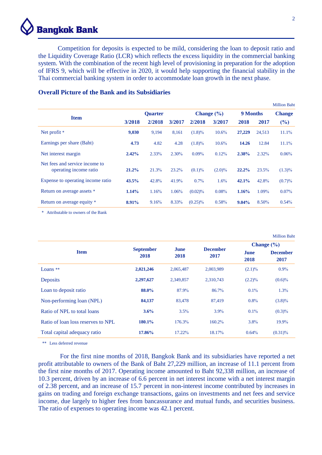# **Bangkok Bank**

Competition for deposits is expected to be mild, considering the loan to deposit ratio and the Liquidity Coverage Ratio (LCR) which reflects the excess liquidity in the commercial banking system. With the combination of the recent high level of provisioning in preparation for the adoption of IFRS 9, which will be effective in 2020, it would help supporting the financial stability in the Thai commercial banking system in order to accommodate loan growth in the next phase.

V2 13/11/61 17:55 น.

|                                                          |                |        |        |            |                |          |          | <b>Million Baht</b> |
|----------------------------------------------------------|----------------|--------|--------|------------|----------------|----------|----------|---------------------|
|                                                          | <b>Ouarter</b> |        |        |            | Change $(\% )$ |          | 9 Months |                     |
| <b>Item</b>                                              | 3/2018         | 2/2018 | 3/2017 | 2/2018     | 3/2017         | 2018     | 2017     | (%)                 |
| Net profit *                                             | 9,030          | 9,194  | 8,161  | $(1.8)\%$  | $10.6\%$       | 27,229   | 24,513   | $11.1\%$            |
| Earnings per share (Baht)                                | 4.73           | 4.82   | 4.28   | $(1.8)\%$  | 10.6%          | 14.26    | 12.84    | 11.1%               |
| Net interest margin                                      | 2.42%          | 2.33%  | 2.30%  | $0.09\%$   | 0.12%          | 2.38%    | 2.32%    | 0.06%               |
| Net fees and service income to<br>operating income ratio | 21.2%          | 21.3%  | 23.2%  | $(0.1)\%$  | $(2.0)\%$      | $22.2\%$ | 23.5%    | $(1.3)\%$           |
| Expense to operating income ratio                        | 43.5%          | 42.8%  | 41.9%  | $0.7\%$    | 1.6%           | 42.1%    | 42.8%    | (0.7)%              |
| Return on average assets *                               | 1.14%          | 1.16%  | 1.06%  | (0.02)%    | 0.08%          | 1.16%    | 1.09%    | $0.07\%$            |
| Return on average equity *                               | 8.91%          | 9.16%  | 8.33%  | $(0.25)\%$ | 0.58%          | $9.04\%$ | 8.50%    | $0.54\%$            |

# **Overall Picture of the Bank and its Subsidiaries**

\* Attributable to owners of the Bank

|                                    |                          |              |                         | Change $(\% )$<br>June<br>2018<br>$(2.1)\%$<br>$(2.2)\%$<br>$0.1\%$<br>$0.8\%$<br>$0.1\%$<br>$3.8\%$ | <b>Million Baht</b>     |
|------------------------------------|--------------------------|--------------|-------------------------|------------------------------------------------------------------------------------------------------|-------------------------|
|                                    |                          |              |                         |                                                                                                      |                         |
| <b>Item</b>                        | <b>September</b><br>2018 | June<br>2018 | <b>December</b><br>2017 |                                                                                                      | <b>December</b><br>2017 |
| Loans $**$                         | 2,021,246                | 2,065,487    | 2,003,989               |                                                                                                      | $0.9\%$                 |
| <b>Deposits</b>                    | 2,297,627                | 2,349,857    | 2,310,743               |                                                                                                      | $(0.6)\%$               |
| Loan to deposit ratio              | 88.0%                    | 87.9%        | 86.7%                   |                                                                                                      | 1.3%                    |
| Non-performing loan (NPL)          | 84,137                   | 83,478       | 87,419                  |                                                                                                      | $(3.8)\%$               |
| Ratio of NPL to total loans        | 3.6%                     | $3.5\%$      | $3.9\%$                 |                                                                                                      | $(0.3)\%$               |
| Ratio of loan loss reserves to NPL | 180.1%                   | 176.3%       | $160.2\%$               |                                                                                                      | 19.9%                   |
| Total capital adequacy ratio       | 17.86%                   | 17.22%       | 18.17%                  | 0.64%                                                                                                | $(0.31)\%$              |

\*\* Less deferred revenue

For the first nine months of 2018, Bangkok Bank and its subsidiaries have reported a net profit attributable to owners of the Bank of Baht 27,229 million, an increase of 11.1 percent from the first nine months of 2017. Operating income amounted to Baht 92,338 million, an increase of 10.3 percent, driven by an increase of 6.6 percent in net interest income with a net interest margin of 2.38 percent, and an increase of 15.7 percent in non-interest income contributed by increases in gains on trading and foreign exchange transactions, gains on investments and net fees and service income, due largely to higher fees from bancassurance and mutual funds, and securities business. The ratio of expenses to operating income was 42.1 percent.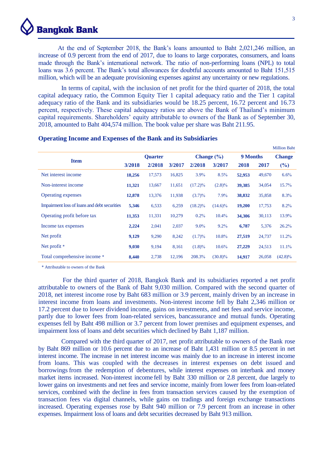

At the end of September 2018, the Bank's loans amounted to Baht 2,021,246 million, an increase of 0.9 percent from the end of 2017, due to loans to large corporates, consumers, and loans made through the Bank's international network. The ratio of non-performing loans (NPL) to total loans was 3.6 percent. The Bank's total allowances for doubtful accounts amounted to Baht 151,515 million, which will be an adequate provisioning expenses against any uncertainty or new regulations.

In terms of capital, with the inclusion of net profit for the third quarter of 2018, the total capital adequacy ratio, the Common Equity Tier 1 capital adequacy ratio and the Tier 1 capital adequacy ratio of the Bank and its subsidiaries would be 18.25 percent, 16.72 percent and 16.73 percent, respectively. These capital adequacy ratios are above the Bank of Thailand's minimum capital requirements. Shareholders' equity attributable to owners of the Bank as of September 30, 2018, amounted to Baht 404,574 million. The book value per share was Baht 211.95.

|                                              |        |                |        |            |                |          |        | <b>Million Baht</b> |
|----------------------------------------------|--------|----------------|--------|------------|----------------|----------|--------|---------------------|
|                                              |        | <b>Ouarter</b> |        |            | Change $(\% )$ | 9 Months |        | <b>Change</b>       |
| <b>Item</b>                                  | 3/2018 | 2/2018         | 3/2017 | 2/2018     | 3/2017         | 2018     | 2017   | $(\%)$              |
| Net interest income                          | 18,256 | 17,573         | 16,825 | $3.9\%$    | 8.5%           | 52,953   | 49,670 | 6.6%                |
| Non-interest income                          | 11,321 | 13,667         | 11,651 | $(17.2)\%$ | $(2.8)\%$      | 39,385   | 34,054 | 15.7%               |
| <b>Operating expenses</b>                    | 12,878 | 13,376         | 11,938 | $(3.7)\%$  | $7.9\%$        | 38,832   | 35,858 | 8.3%                |
| Impairment loss of loans and debt securities | 5,346  | 6,533          | 6,259  | $(18.2)\%$ | $(14.6)\%$     | 19,200   | 17,753 | 8.2%                |
| Operating profit before tax                  | 11,353 | 11,331         | 10,279 | $0.2\%$    | $10.4\%$       | 34,306   | 30,113 | 13.9%               |
| Income tax expenses                          | 2,224  | 2,041          | 2,037  | $9.0\%$    | 9.2%           | 6,787    | 5,376  | 26.2%               |
| Net profit                                   | 9,129  | 9,290          | 8,242  | (1.7)%     | 10.8%          | 27,519   | 24,737 | 11.2%               |
| Net profit $*$                               | 9,030  | 9,194          | 8,161  | $(1.8)\%$  | 10.6%          | 27,229   | 24,513 | 11.1%               |
| Total comprehensive income *                 | 8,440  | 2,738          | 12,196 | 208.3%     | $(30.8)\%$     | 14,917   | 26,058 | $(42.8)\%$          |

#### **Operating Income and Expenses of the Bank and its Subsidiaries**

\* Attributable to owners of the Bank

For the third quarter of 2018, Bangkok Bank and its subsidiaries reported a net profit attributable to owners of the Bank of Baht 9,030 million. Compared with the second quarter of 2018, net interest income rose by Baht 683 million or 3.9 percent, mainly driven by an increase in interest income from loans and investments. Non-interest income fell by Baht 2,346 million or 17.2 percent due to lower dividend income, gains on investments, and net fees and service income, partly due to lower fees from loan-related services, bancassurance and mutual funds. Operating expenses fell by Baht 498 million or 3.7 percent from lower premises and equipment expenses, and impairment loss of loans and debt securities which declined by Baht 1,187 million.

Compared with the third quarter of 2017, net profit attributable to owners of the Bank rose by Baht 869 million or 10.6 percent due to an increase of Baht 1,431 million or 8.5 percent in net interest income. The increase in net interest income was mainly due to an increase in interest income from loans. This was coupled with the decreases in interest expenses on debt issued and borrowings from the redemption of debentures, while interest expenses on interbank and money market items increased. Non-interest income fell by Baht 330 million or 2.8 percent, due largely to lower gains on investments and net fees and service income, mainly from lower fees from loan-related services, combined with the decline in fees from transaction services caused by the exemption of transaction fees via digital channels, while gains on tradings and foreign exchange transactions increased. Operating expenses rose by Baht 940 million or 7.9 percent from an increase in other expenses. Impairment loss of loans and debt securities decreased by Baht 913 million.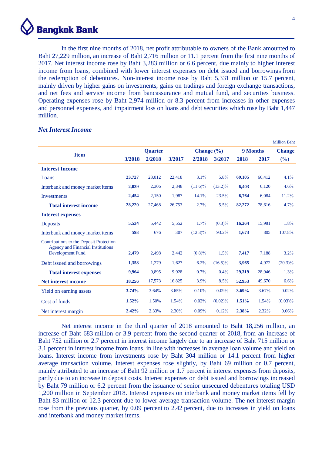

In the first nine months of 2018, net profit attributable to owners of the Bank amounted to Baht 27,229 million, an increase of Baht 2,716 million or 11.1 percent from the first nine months of 2017. Net interest income rose by Baht 3,283 million or 6.6 percent, due mainly to higher interest income from loans, combined with lower interest expenses on debt issued and borrowings from the redemption of debentures. Non-interest income rose by Baht 5,331 million or 15.7 percent, mainly driven by higher gains on investments, gains on tradings and foreign exchange transactions, and net fees and service income from bancassurance and mutual fund, and securities business. Operating expenses rose by Baht 2,974 million or 8.3 percent from increases in other expenses and personnel expenses, and impairment loss on loans and debt securities which rose by Baht 1,447 million.

|                                                                                     |        |                |        |                |            |        |                 | <b>Million Baht</b> |
|-------------------------------------------------------------------------------------|--------|----------------|--------|----------------|------------|--------|-----------------|---------------------|
|                                                                                     |        | <b>Quarter</b> |        | Change $(\% )$ |            |        | <b>9 Months</b> | <b>Change</b>       |
| <b>Item</b>                                                                         | 3/2018 | 2/2018         | 3/2017 | 2/2018         | 3/2017     | 2018   | 2017            | $(\%)$              |
| <b>Interest Income</b>                                                              |        |                |        |                |            |        |                 |                     |
| Loans                                                                               | 23,727 | 23,012         | 22,418 | 3.1%           | 5.8%       | 69,105 | 66,412          | 4.1%                |
| Interbank and money market items                                                    | 2,039  | 2,306          | 2,348  | $(11.6)\%$     | $(13.2)\%$ | 6,403  | 6,120           | 4.6%                |
| <b>Investments</b>                                                                  | 2,454  | 2,150          | 1,987  | 14.1%          | 23.5%      | 6,764  | 6,084           | 11.2%               |
| <b>Total interest income</b>                                                        | 28,220 | 27,468         | 26,753 | 2.7%           | 5.5%       | 82,272 | 78,616          | 4.7%                |
| <b>Interest expenses</b>                                                            |        |                |        |                |            |        |                 |                     |
| Deposits                                                                            | 5,534  | 5,442          | 5,552  | 1.7%           | (0.3)%     | 16,264 | 15,981          | 1.8%                |
| Interbank and money market items                                                    | 593    | 676            | 307    | $(12.3)\%$     | 93.2%      | 1,673  | 805             | 107.8%              |
| Contributions to the Deposit Protection<br><b>Agency and Financial Institutions</b> |        |                |        |                |            |        |                 |                     |
| <b>Development Fund</b>                                                             | 2,479  | 2,498          | 2,442  | $(0.8)\%$      | 1.5%       | 7,417  | 7,188           | 3.2%                |
| Debt issued and borrowings                                                          | 1,358  | 1,279          | 1,627  | 6.2%           | $(16.5)\%$ | 3,965  | 4,972           | $(20.3)\%$          |
| <b>Total interest expenses</b>                                                      | 9,964  | 9,895          | 9,928  | 0.7%           | $0.4\%$    | 29,319 | 28,946          | 1.3%                |
| <b>Net interest income</b>                                                          | 18,256 | 17,573         | 16,825 | 3.9%           | 8.5%       | 52,953 | 49,670          | 6.6%                |
| Yield on earning assets                                                             | 3.74%  | 3.64%          | 3.65%  | 0.10%          | $0.09\%$   | 3.69%  | 3.67%           | 0.02%               |
| Cost of funds                                                                       | 1.52%  | 1.50%          | 1.54%  | 0.02%          | $(0.02)\%$ | 1.51%  | 1.54%           | $(0.03)\%$          |
| Net interest margin                                                                 | 2.42%  | 2.33%          | 2.30%  | $0.09\%$       | 0.12%      | 2.38%  | 2.32%           | 0.06%               |

#### *Net Interest Income*

Net interest income in the third quarter of 2018 amounted to Baht 18,256 million, an increase of Baht 683 million or 3.9 percent from the second quarter of 2018, from an increase of Baht 752 million or 2.7 percent in interest income largely due to an increase of Baht 715 million or 3.1 percent in interest income from loans, in line with increases in average loan volume and yield on loans. Interest income from investments rose by Baht 304 million or 14.1 percent from higher average transaction volume. Interest expenses rose slightly, by Baht 69 million or 0.7 percent, mainly attributed to an increase of Baht 92 million or 1.7 percent in interest expenses from deposits, partly due to an increase in deposit costs. Interest expenses on debt issued and borrowings increased by Baht 79 million or 6.2 percent from the issuance of senior unsecured debentures totaling USD 1,200 million in September 2018. Interest expenses on interbank and money market items fell by Baht 83 million or 12.3 percent due to lower average transaction volume. The net interest margin rose from the previous quarter, by 0.09 percent to 2.42 percent, due to increases in yield on loans and interbank and money market items.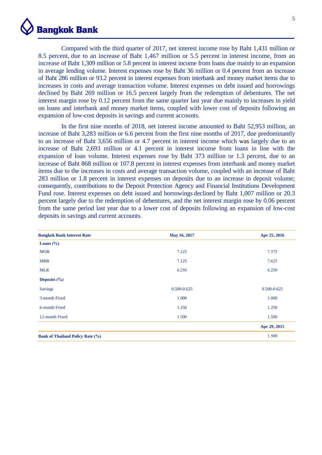

Compared with the third quarter of 2017, net interest income rose by Baht 1,431 million or 8.5 percent, due to an increase of Baht 1,467 million or 5.5 percent in interest income, from an increase of Baht 1,309 million or 5.8 percent in interest income from loans due mainly to an expansion in average lending volume. Interest expenses rose by Baht 36 million or 0.4 percent from an increase of Baht 286 million or 93.2 percent in interest expenses from interbank and money market items due to increases in costs and average transaction volume. Interest expenses on debt issued and borrowings declined by Baht 269 million or 16.5 percent largely from the redemption of debentures. The net interest margin rose by 0.12 percent from the same quarter last year due mainly to increases in yield on loans and interbank and money market items, coupled with lower cost of deposits following an expansion of low-cost deposits in savings and current accounts.

In the first nine months of 2018, net interest income amounted to Baht 52,953 million, an increase of Baht 3,283 million or 6.6 percent from the first nine months of 2017, due predominantly to an increase of Baht 3,656 million or 4.7 percent in interest income which was largely due to an increase of Baht 2,693 million or 4.1 percent in interest income from loans in line with the expansion of loan volume. Interest expenses rose by Baht 373 million or 1.3 percent, due to an increase of Baht 868 million or 107.8 percent in interest expenses from interbank and money market items due to the increases in costs and average transaction volume, coupled with an increase of Baht 283 million or 1.8 percent in interest expenses on deposits due to an increase in deposit volume; consequently, contributions to the Deposit Protection Agency and Financial Institutions Development Fund rose. Interest expenses on debt issued and borrowings declined by Baht 1,007 million or 20.3 percent largely due to the redemption of debentures, and the net interest margin rose by 0.06 percent from the same period last year due to a lower cost of deposits following an expansion of low-cost deposits in savings and current accounts.

| <b>Bangkok Bank Interest Rate</b>       | May 16, 2017    | Apr 25, 2016    |
|-----------------------------------------|-----------------|-----------------|
| Loans $(\% )$                           |                 |                 |
| <b>MOR</b>                              | 7.125           | 7.375           |
| <b>MRR</b>                              | 7.125           | 7.625           |
| <b>MLR</b>                              | 6.250           | 6.250           |
| Deposits $(\% )$                        |                 |                 |
| <b>Savings</b>                          | $0.500 - 0.625$ | $0.500 - 0.625$ |
| 3-month Fixed                           | 1.000           | 1.000           |
| 6-month Fixed                           | 1.250           | 1.250           |
| 12-month Fixed                          | 1.500           | 1.500           |
|                                         |                 | Apr 29, 2015    |
| <b>Bank of Thailand Policy Rate (%)</b> |                 | 1.500           |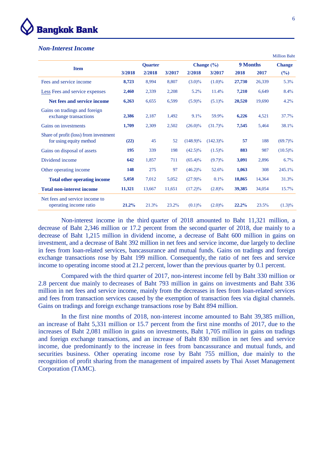

# *Non-Interest Income*

|                                                                   |        |                |        |             |                |          |        | <b>Million Baht</b> |
|-------------------------------------------------------------------|--------|----------------|--------|-------------|----------------|----------|--------|---------------------|
|                                                                   |        | <b>Quarter</b> |        |             | Change $(\% )$ | 9 Months |        | <b>Change</b>       |
| <b>Item</b>                                                       | 3/2018 | 2/2018         | 3/2017 | 2/2018      | 3/2017         | 2018     | 2017   | $(\%)$              |
| Fees and service income                                           | 8,723  | 8,994          | 8,807  | $(3.0)\%$   | $(1.0)\%$      | 27,730   | 26,339 | 5.3%                |
| <b>Less</b> Fees and service expenses                             | 2,460  | 2,339          | 2,208  | 5.2%        | 11.4%          | 7,210    | 6,649  | 8.4%                |
| Net fees and service income                                       | 6,263  | 6,655          | 6,599  | $(5.9)\%$   | $(5.1)\%$      | 20,520   | 19,690 | 4.2%                |
| Gains on tradings and foreign<br>exchange transactions            | 2,386  | 2,187          | 1,492  | 9.1%        | 59.9%          | 6,226    | 4,521  | 37.7%               |
| Gains on investments                                              | 1,709  | 2,309          | 2,502  | $(26.0)\%$  | $(31.7)\%$     | 7,545    | 5,464  | 38.1%               |
| Share of profit (loss) from investment<br>for using equity method | (22)   | 45             | 52     | $(148.9)\%$ | $(142.3)\%$    | 57       | 188    | $(69.7)\%$          |
| Gains on disposal of assets                                       | 195    | 339            | 198    | $(42.5)\%$  | $(1.5)\%$      | 883      | 987    | $(10.5)\%$          |
| Dividend income                                                   | 642    | 1,857          | 711    | $(65.4)\%$  | $(9.7)\%$      | 3,091    | 2,896  | 6.7%                |
| Other operating income                                            | 148    | 275            | 97     | $(46.2)\%$  | 52.6%          | 1,063    | 308    | 245.1%              |
| <b>Total other operating income</b>                               | 5,058  | 7,012          | 5,052  | $(27.9)\%$  | 0.1%           | 18,865   | 14,364 | 31.3%               |
| <b>Total non-interest income</b>                                  | 11,321 | 13,667         | 11,651 | $(17.2)\%$  | $(2.8)\%$      | 39,385   | 34,054 | 15.7%               |
| Net fees and service income to<br>operating income ratio          | 21.2%  | 21.3%          | 23.2%  | $(0.1)\%$   | $(2.0)\%$      | 22.2%    | 23.5%  | $(1.3)\%$           |

Non-interest income in the third quarter of 2018 amounted to Baht 11,321 million, a decrease of Baht 2,346 million or 17.2 percent from the second quarter of 2018, due mainly to a decrease of Baht 1,215 million in dividend income, a decrease of Baht 600 million in gains on investment, and a decrease of Baht 392 million in net fees and service income, due largely to decline in fees from loan-related services, bancassurance and mutual funds. Gains on tradings and foreign exchange transactions rose by Baht 199 million. Consequently, the ratio of net fees and service income to operating income stood at 21.2 percent, lower than the previous quarter by 0.1 percent.

Compared with the third quarter of 2017, non-interest income fell by Baht 330 million or 2.8 percent due mainly to decreases of Baht 793 million in gains on investments and Baht 336 million in net fees and service income, mainly from the decreases in fees from loan-related services and fees from transaction services caused by the exemption of transaction fees via digital channels. Gains on tradings and foreign exchange transactions rose by Baht 894 million.

In the first nine months of 2018, non-interest income amounted to Baht 39,385 million, an increase of Baht 5,331 million or 15.7 percent from the first nine months of 2017, due to the increases of Baht 2,081 million in gains on investments, Baht 1,705 million in gains on tradings and foreign exchange transactions, and an increase of Baht 830 million in net fees and service income, due predominantly to the increase in fees from bancassurance and mutual funds, and securities business. Other operating income rose by Baht 755 million, due mainly to the recognition of profit sharing from the management of impaired assets by Thai Asset Management Corporation (TAMC).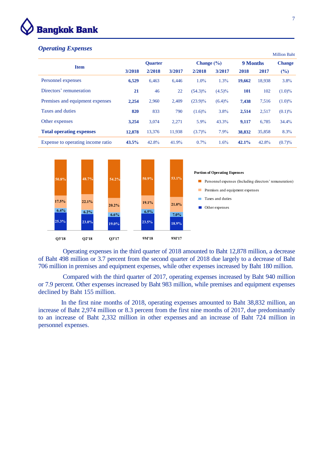

# *Operating Expenses*

|                                   |        |                |        |                |           |            |        | <b>WHIRDEL Dance</b> |
|-----------------------------------|--------|----------------|--------|----------------|-----------|------------|--------|----------------------|
| <b>Item</b>                       |        | <b>Ouarter</b> |        | Change $(\% )$ |           | 9 Months   |        | <b>Change</b>        |
|                                   | 3/2018 | 2/2018         | 3/2017 | 2/2018         | 3/2017    | 2018       | 2017   | $(\%)$               |
| Personnel expenses                | 6,529  | 6,463          | 6,446  | $1.0\%$        | 1.3%      | 19,662     | 18,938 | 3.8%                 |
| Directors' remuneration           | 21     | 46             | 22     | $(54.3)\%$     | $(4.5)\%$ | <b>101</b> | 102    | $(1.0)\%$            |
| Premises and equipment expenses   | 2,254  | 2.960          | 2,409  | $(23.9)\%$     | $(6.4)\%$ | 7,438      | 7,516  | $(1.0)\%$            |
| Taxes and duties                  | 820    | 833            | 790    | $(1.6)\%$      | 3.8%      | 2,514      | 2,517  | $(0.1)\%$            |
| Other expenses                    | 3,254  | 3.074          | 2,271  | $5.9\%$        | 43.3%     | 9,117      | 6,785  | 34.4%                |
| <b>Total operating expenses</b>   | 12,878 | 13,376         | 11,938 | $(3.7)\%$      | 7.9%      | 38,832     | 35,858 | 8.3%                 |
| Expense to operating income ratio | 43.5%  | 42.8%          | 41.9%  | $0.7\%$        | 1.6%      | 42.1%      | 42.8%  | (0.7)%               |



Operating expenses in the third quarter of 2018 amounted to Baht 12,878 million, a decrease of Baht 498 million or 3.7 percent from the second quarter of 2018 due largely to a decrease of Baht 706 million in premises and equipment expenses, while other expenses increased by Baht 180 million.

Compared with the third quarter of 2017, operating expenses increased by Baht 940 million or 7.9 percent. Other expenses increased by Baht 983 million, while premises and equipment expenses declined by Baht 155 million.

In the first nine months of 2018, operating expenses amounted to Baht 38,832 million, an increase of Baht 2,974 million or 8.3 percent from the first nine months of 2017, due predominantly to an increase of Baht 2,332 million in other expenses and an increase of Baht 724 million in personnel expenses.

Million Baht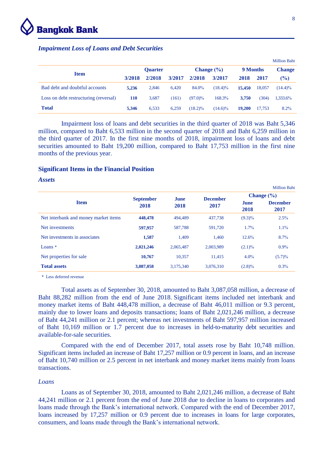

### *Impairment Loss of Loans and Debt Securities*

|                                       |                |        |        |                |            |          |        | <b>Million Baht</b> |
|---------------------------------------|----------------|--------|--------|----------------|------------|----------|--------|---------------------|
|                                       | <b>Ouarter</b> |        |        | Change $(\% )$ |            | 9 Months |        | <b>Change</b>       |
| <b>Item</b>                           | 3/2018         | 2/2018 | 3/2017 | 2/2018         | 3/2017     | 2018     | 2017   | $(\%)$              |
| Bad debt and doubtful accounts        | 5,236          | 2,846  | 6.420  | 84.0%          | $(18.4)\%$ | 15,450   | 18,057 | $(14.4)\%$          |
| Loss on debt restructuring (reversal) | 110            | 3.687  | (161)  | $(97.0)\%$     | 168.3%     | 3.750    | (304)  | 1,333.6%            |
| <b>Total</b>                          | 5.346          | 6.533  | 6.259  | $(18.2)\%$     | $(14.6)\%$ | 19,200   | 17.753 | 8.2%                |

Impairment loss of loans and debt securities in the third quarter of 2018 was Baht 5,346 million, compared to Baht 6,533 million in the second quarter of 2018 and Baht 6,259 million in the third quarter of 2017. In the first nine months of 2018, impairment loss of loans and debt securities amounted to Baht 19,200 million, compared to Baht 17,753 million in the first nine months of the previous year.

# **Significant Items in the Financial Position**

# *Assets*

|                                      |                          |              |                 |                     | <b>Million Baht</b>     |
|--------------------------------------|--------------------------|--------------|-----------------|---------------------|-------------------------|
|                                      |                          |              | <b>December</b> |                     | Change $(\% )$          |
| <b>Item</b>                          | <b>September</b><br>2018 | June<br>2018 | 2017            | <b>June</b><br>2018 | <b>December</b><br>2017 |
| Net interbank and money market items | 448,478                  | 494.489      | 437.738         | $(9.3)\%$           | 2.5%                    |
| Net investments                      | 597,957                  | 587,788      | 591,720         | $1.7\%$             | 1.1%                    |
| Net investments in associates        | 1,587                    | 1.409        | 1.460           | 12.6%               | 8.7%                    |
| Loans $*$                            | 2,021,246                | 2,065,487    | 2,003,989       | $(2.1)\%$           | $0.9\%$                 |
| Net properties for sale              | 10,767                   | 10,357       | 11.415          | $4.0\%$             | $(5.7)\%$               |
| <b>Total assets</b>                  | 3,087,058                | 3,175,340    | 3,076,310       | $(2.8)\%$           | 0.3%                    |

\* Less deferred revenue

Total assets as of September 30, 2018, amounted to Baht 3,087,058 million, a decrease of Baht 88,282 million from the end of June 2018. Significant items included net interbank and money market items of Baht 448,478 million, a decrease of Baht 46,011 million or 9.3 percent, mainly due to lower loans and deposits transactions; loans of Baht 2,021,246 million, a decrease of Baht 44,241 million or 2.1 percent; whereas net investments of Baht 597,957 million increased of Baht 10,169 million or 1.7 percent due to increases in held-to-maturity debt securities and available-for-sale securities.

Compared with the end of December 2017, total assets rose by Baht 10,748 million. Significant items included an increase of Baht 17,257 million or 0.9 percent in loans, and an increase of Baht 10,740 million or 2.5 percent in net interbank and money market items mainly from loans transactions.

#### *Loans*

Loans as of September 30, 2018, amounted to Baht 2,021,246 million, a decrease of Baht 44,241 million or 2.1 percent from the end of June 2018 due to decline in loans to corporates and loans made through the Bank's international network. Compared with the end of December 2017, loans increased by 17,257 million or 0.9 percent due to increases in loans for large corporates, consumers, and loans made through the Bank's international network.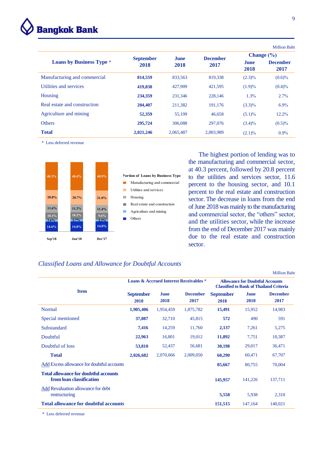

|                                 |                  |             |                 |                     | <b>Million Baht</b>     |  |
|---------------------------------|------------------|-------------|-----------------|---------------------|-------------------------|--|
|                                 | <b>September</b> | <b>June</b> | <b>December</b> | Change $(\% )$      |                         |  |
| <b>Loans by Business Type *</b> | 2018             | 2018        | 2017            | <b>June</b><br>2018 | <b>December</b><br>2017 |  |
| Manufacturing and commercial    | 814,559          | 833,563     | 819,338         | $(2.3)\%$           | $(0.6)\%$               |  |
| Utilities and services          | 419,838          | 427,909     | 421,595         | $(1.9)\%$           | $(0.4)\%$               |  |
| Housing                         | 234,359          | 231,346     | 228,146         | 1.3%                | 2.7%                    |  |
| Real estate and construction    | 204,407          | 211,382     | 191,176         | $(3.3)\%$           | $6.9\%$                 |  |
| Agriculture and mining          | 52,359           | 55.199      | 46.658          | $(5.1)\%$           | $12.2\%$                |  |
| <b>Others</b>                   | 295,724          | 306,088     | 297,076         | $(3.4)\%$           | $(0.5)\%$               |  |
| <b>Total</b>                    | 2,021,246        | 2,065,487   | 2,003,989       | $(2.1)\%$           | $0.9\%$                 |  |

\* Less deferred revenue



 The highest portion of lending was to the manufacturing and commercial sector, at 40.3 percent, followed by 20.8 percent to the utilities and services sector, 11.6 percent to the housing sector, and 10.1 percent to the real estate and construction sector. The decrease in loans from the end of June 2018 was mainly to the manufacturing and commercial sector, the "others" sector, and the utilities sector, while the increase from the end of December 2017 was mainly due to the real estate and construction sector.

Million Baht

# *Classified Loans and Allowance for Doubtful Accounts*

|                                                                          |                          |                     |                                                   |                                                                                          |              | ічніці рац              |  |
|--------------------------------------------------------------------------|--------------------------|---------------------|---------------------------------------------------|------------------------------------------------------------------------------------------|--------------|-------------------------|--|
|                                                                          |                          |                     | <b>Loans &amp; Accrued Interest Receivables *</b> | <b>Allowance for Doubtful Accounts</b><br><b>Classified to Bank of Thailand Criteria</b> |              |                         |  |
| <b>Item</b>                                                              | <b>September</b><br>2018 | <b>June</b><br>2018 | <b>December</b><br>2017                           | <b>September</b><br>2018                                                                 | June<br>2018 | <b>December</b><br>2017 |  |
| <b>Normal</b>                                                            | 1,905,406                | 1,954,459           | 1,875,782                                         | 15,491                                                                                   | 15,952       | 14,983                  |  |
| Special mentioned                                                        | 37,087                   | 32,710              | 45,815                                            | 572                                                                                      | 490          | 591                     |  |
| <b>Substandard</b>                                                       | 7,416                    | 14,259              | 11,760                                            | 2,137                                                                                    | 7,261        | 5,275                   |  |
| Doubtful                                                                 | 22,963                   | 16,801              | 19,012                                            | 11,892                                                                                   | 7,751        | 10,387                  |  |
| Doubtful of loss                                                         | 53,810                   | 52,437              | 56,681                                            | 30,198                                                                                   | 29,017       | 36,471                  |  |
| <b>Total</b>                                                             | 2,026,682                | 2,070,666           | 2,009,050                                         | 60,290                                                                                   | 60,471       | 67,707                  |  |
| Add Excess allowance for doubtful accounts                               |                          |                     |                                                   | 85,667                                                                                   | 80,755       | 70,004                  |  |
| <b>Total allowance for doubtful accounts</b><br>from loan classification |                          |                     |                                                   | 145,957                                                                                  | 141,226      | 137,711                 |  |
| Add Revaluation allowance for debt<br>restructuring                      |                          |                     |                                                   | 5,558                                                                                    | 5,938        | 2,310                   |  |
| <b>Total allowance for doubtful accounts</b>                             |                          |                     |                                                   | 151,515                                                                                  | 147,164      | 140,021                 |  |
|                                                                          |                          |                     |                                                   |                                                                                          |              |                         |  |

\* Less deferred revenue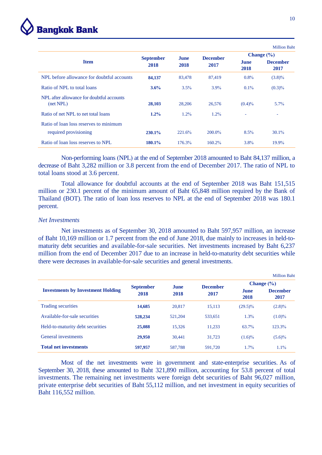

|                                                        |                  |             |                 |                     | <b>Million Baht</b>     |
|--------------------------------------------------------|------------------|-------------|-----------------|---------------------|-------------------------|
|                                                        | <b>September</b> | <b>June</b> | <b>December</b> |                     | Change $(\% )$          |
| <b>Item</b>                                            | 2018             | 2018        | 2017            | <b>June</b><br>2018 | <b>December</b><br>2017 |
| NPL before allowance for doubtful accounts             | 84,137           | 83,478      | 87,419          | $0.8\%$             | $(3.8)\%$               |
| Ratio of NPL to total loans                            | 3.6%             | 3.5%        | $3.9\%$         | $0.1\%$             | $(0.3)\%$               |
| NPL after allowance for doubtful accounts<br>(net NPL) | 28,103           | 28,206      | 26,576          | $(0.4)\%$           | $5.7\%$                 |
| Ratio of net NPL to net total loans                    | $1.2\%$          | 1.2%        | $1.2\%$         | ٠                   | ٠                       |
| Ratio of loan loss reserves to minimum                 |                  |             |                 |                     |                         |
| required provisioning                                  | 230.1%           | 221.6%      | $200.0\%$       | $8.5\%$             | $30.1\%$                |
| Ratio of loan loss reserves to NPL                     | 180.1%           | 176.3%      | 160.2%          | $3.8\%$             | $19.9\%$                |

Non-performing loans (NPL) at the end of September 2018 amounted to Baht 84,137 million, a decrease of Baht 3,282 million or 3.8 percent from the end of December 2017. The ratio of NPL to total loans stood at 3.6 percent.

Total allowance for doubtful accounts at the end of September 2018 was Baht 151,515 million or 230.1 percent of the minimum amount of Baht 65,848 million required by the Bank of Thailand (BOT). The ratio of loan loss reserves to NPL at the end of September 2018 was 180.1 percent.

#### *Net Investments*

Net investments as of September 30, 2018 amounted to Baht 597,957 million, an increase of Baht 10,169 million or 1.7 percent from the end of June 2018, due mainly to increases in held-tomaturity debt securities and available-for-sale securities. Net investments increased by Baht 6,237 million from the end of December 2017 due to an increase in held-to-maturity debt securities while there were decreases in available-for-sale securities and general investments.

|                                          |                  |             |                 |                     | <b>Million Baht</b>     |
|------------------------------------------|------------------|-------------|-----------------|---------------------|-------------------------|
|                                          | <b>September</b> | <b>June</b> | <b>December</b> |                     | Change $(\% )$          |
| <b>Investments by Investment Holding</b> | 2018             | 2018        | 2017            | <b>June</b><br>2018 | <b>December</b><br>2017 |
| Trading securities                       | 14,685           | 20,817      | 15.113          | $(29.5)\%$          | $(2.8)\%$               |
| Available-for-sale securities            | 528,234          | 521.204     | 533.651         | 1.3%                | $(1.0)\%$               |
| Held-to-maturity debt securities         | 25,088           | 15.326      | 11.233          | 63.7%               | 123.3%                  |
| General investments                      | 29,950           | 30.441      | 31.723          | $(1.6)\%$           | $(5.6)\%$               |
| <b>Total net investments</b>             | 597,957          | 587.788     | 591,720         | 1.7%                | $1.1\%$                 |

Most of the net investments were in government and state-enterprise securities. As of September 30, 2018, these amounted to Baht 321,890 million, accounting for 53.8 percent of total investments. The remaining net investments were foreign debt securities of Baht 96,027 million, private enterprise debt securities of Baht 55,112 million, and net investment in equity securities of Baht 116,552 million.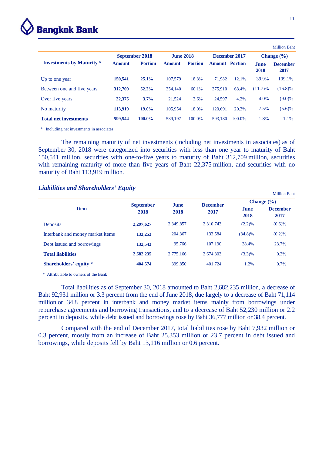

|                                  |               |                |                  |                |                       |               |                       | <b>Million Baht</b>     |
|----------------------------------|---------------|----------------|------------------|----------------|-----------------------|---------------|-----------------------|-------------------------|
|                                  |               | September 2018 | <b>June 2018</b> |                |                       | December 2017 | <b>Change</b> $(\% )$ |                         |
| <b>Investments by Maturity *</b> | <b>Amount</b> | <b>Portion</b> | <b>Amount</b>    | <b>Portion</b> | <b>Amount</b> Portion |               | <b>June</b><br>2018   | <b>December</b><br>2017 |
| Up to one year                   | 150,541       | $25.1\%$       | 107,579          | 18.3%          | 71.982                | 12.1%         | $39.9\%$              | 109.1%                  |
| Between one and five years       | 312,709       | 52.2%          | 354,140          | 60.1%          | 375,910               | 63.4%         | $(11.7)\%$            | $(16.8)\%$              |
| Over five years                  | 22,375        | 3.7%           | 21.524           | 3.6%           | 24.597                | 4.2%          | $4.0\%$               | $(9.0)\%$               |
| No maturity                      | 113,919       | 19.0%          | 105,954          | 18.0%          | 120.691               | 20.3%         | 7.5%                  | $(5.6)\%$               |
| <b>Total net investments</b>     | 599,544       | 100.0%         | 589.197          | 100.0%         | 593.180               | 100.0%        | 1.8%                  | $1.1\%$                 |

\* Including net investments in associates

The remaining maturity of net investments (including net investments in associates) as of September 30, 2018 were categorized into securities with less than one year to maturity of Baht 150,541 million, securities with one-to-five years to maturity of Baht 312,709 million, securities with remaining maturity of more than five years of Baht 22,375 million, and securities with no maturity of Baht 113,919 million.

# *Liabilities and Shareholders' Equity*

|                                  |                  |             |                 |                | <b>Million Baht</b>     |  |
|----------------------------------|------------------|-------------|-----------------|----------------|-------------------------|--|
|                                  | <b>September</b> | <b>June</b> | <b>December</b> | Change $(\% )$ |                         |  |
| <b>Item</b>                      | 2018             | 2018        | 2017            | June<br>2018   | <b>December</b><br>2017 |  |
| <b>Deposits</b>                  | 2,297,627        | 2,349,857   | 2.310.743       | $(2.2)\%$      | $(0.6)\%$               |  |
| Interbank and money market items | 133,253          | 204,367     | 133.584         | $(34.8)\%$     | $(0.2)\%$               |  |
| Debt issued and borrowings       | 132,543          | 95,766      | 107.190         | 38.4%          | 23.7%                   |  |
| <b>Total liabilities</b>         | 2,682,235        | 2,775,166   | 2,674,303       | $(3.3)\%$      | 0.3%                    |  |
| Shareholders' equity *           | 404,574          | 399,850     | 401.724         | 1.2%           | $0.7\%$                 |  |

\* Attributable to owners of the Bank

Total liabilities as of September 30, 2018 amounted to Baht 2,682,235 million, a decrease of Baht 92,931 million or 3.3 percent from the end of June 2018, due largely to a decrease of Baht 71,114 million or 34.8 percent in interbank and money market items mainly from borrowings under repurchase agreements and borrowing transactions, and to a decrease of Baht 52,230 million or 2.2 percent in deposits, while debt issued and borrowings rose by Baht 36,777 million or 38.4 percent.

Compared with the end of December 2017, total liabilities rose by Baht 7,932 million or 0.3 percent, mostly from an increase of Baht 25,353 million or 23.7 percent in debt issued and borrowings, while deposits fell by Baht 13,116 million or 0.6 percent.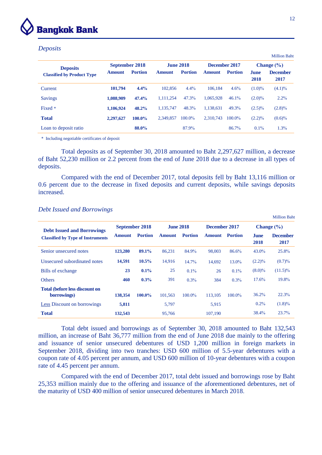

#### *Deposits*

|                                   |                |                |                  |                |               |                |                     | <b>Million Baht</b>     |
|-----------------------------------|----------------|----------------|------------------|----------------|---------------|----------------|---------------------|-------------------------|
| <b>Deposits</b>                   | September 2018 |                | <b>June 2018</b> |                | December 2017 |                | Change $(\% )$      |                         |
| <b>Classified by Product Type</b> | <b>Amount</b>  | <b>Portion</b> | <b>Amount</b>    | <b>Portion</b> | <b>Amount</b> | <b>Portion</b> | <b>June</b><br>2018 | <b>December</b><br>2017 |
| Current                           | 101.794        | 4.4%           | 102,856          | $4.4\%$        | 106.184       | 4.6%           | $(1.0)\%$           | $(4.1)\%$               |
| <b>Savings</b>                    | 1,088,909      | 47.4%          | 1,111,254        | 47.3%          | 1.065.928     | 46.1%          | $(2.0)\%$           | $2.2\%$                 |
| Fixed *                           | 1,106,924      | 48.2%          | 1.135.747        | 48.3%          | 1.138.631     | 49.3%          | $(2.5)\%$           | $(2.8)\%$               |
| <b>Total</b>                      | 2,297,627      | 100.0%         | 2.349.857        | 100.0%         | 2.310.743     | $100.0\%$      | $(2.2)\%$           | $(0.6)\%$               |
| Loan to deposit ratio             |                | 88.0%          |                  | 87.9%          |               | 86.7%          | $0.1\%$             | $1.3\%$                 |

\* Including negotiable certificates of deposit

Total deposits as of September 30, 2018 amounted to Baht 2,297,627 million, a decrease of Baht 52,230 million or 2.2 percent from the end of June 2018 due to a decrease in all types of deposits.

Compared with the end of December 2017, total deposits fell by Baht 13,116 million or 0.6 percent due to the decrease in fixed deposits and current deposits, while savings deposits increased.

| <b>Debt Issued and Borrowings</b>                    | <b>September 2018</b> |                | <b>June 2018</b> |                | December 2017 |                | Change $(\% )$      |                         |
|------------------------------------------------------|-----------------------|----------------|------------------|----------------|---------------|----------------|---------------------|-------------------------|
| <b>Classified by Type of Instruments</b>             | <b>Amount</b>         | <b>Portion</b> | <b>Amount</b>    | <b>Portion</b> | <b>Amount</b> | <b>Portion</b> | <b>June</b><br>2018 | <b>December</b><br>2017 |
| Senior unsecured notes                               | 123,280               | 89.1%          | 86,231           | 84.9%          | 98,003        | 86.6%          | $43.0\%$            | 25.8%                   |
| Unsecured subordinated notes                         | 14,591                | $10.5\%$       | 14.916           | 14.7%          | 14.692        | 13.0%          | $(2.2)\%$           | (0.7)%                  |
| Bills of exchange                                    | 23                    | 0.1%           | 25               | $0.1\%$        | 26            | $0.1\%$        | $(8.0)\%$           | $(11.5)\%$              |
| <b>Others</b>                                        | 460                   | 0.3%           | 391              | $0.3\%$        | 384           | 0.3%           | 17.6%               | 19.8%                   |
| <b>Total (before less discount on</b><br>borrowings) | 138,354               | $100.0\%$      | 101,563          | 100.0%         | 113,105       | 100.0%         | 36.2%               | 22.3%                   |
| <b>Less Discount on borrowings</b>                   | 5,811                 |                | 5,797            |                | 5,915         |                | $0.2\%$             | $(1.8)\%$               |
| <b>Total</b>                                         | 132,543               |                | 95,766           |                | 107,190       |                | 38.4%               | 23.7%                   |

#### *Debt Issued and Borrowings*

Total debt issued and borrowings as of September 30, 2018 amounted to Baht 132,543 million, an increase of Baht 36,777 million from the end of June 2018 due mainly to the offering and issuance of senior unsecured debentures of USD 1,200 million in foreign markets in September 2018, dividing into two tranches: USD 600 million of 5.5-year debentures with a coupon rate of 4.05 percent per annum, and USD 600 million of 10-year debentures with a coupon rate of 4.45 percent per annum.

Compared with the end of December 2017, total debt issued and borrowings rose by Baht 25,353 million mainly due to the offering and issuance of the aforementioned debentures, net of the maturity of USD 400 million of senior unsecured debentures in March 2018.

Million Baht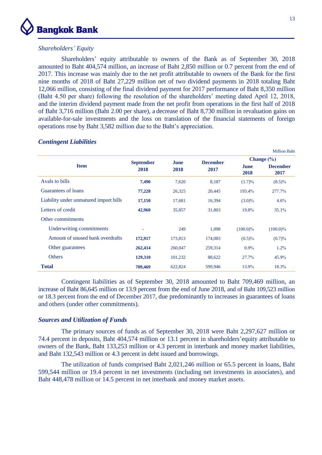

# *Shareholders' Equity*

Shareholders' equity attributable to owners of the Bank as of September 30, 2018 amounted to Baht 404,574 million, an increase of Baht 2,850 million or 0.7 percent from the end of 2017. This increase was mainly due to the net profit attributable to owners of the Bank for the first nine months of 2018 of Baht 27,229 million net of two dividend payments in 2018 totaling Baht 12,066 million, consisting of the final dividend payment for 2017 performance of Baht 8,350 million (Baht 4.50 per share) following the resolution of the shareholders' meeting dated April 12, 2018, and the interim dividend payment made from the net profit from operations in the first half of 2018 of Baht 3,716 million (Baht 2.00 per share), a decrease of Baht 8,730 million in revaluation gains on available-for-sale investments and the loss on translation of the financial statements of foreign operations rose by Baht 3,582 million due to the Baht's appreciation.

|                                        |                  |         |                 |                | <b>Million Baht</b>     |  |
|----------------------------------------|------------------|---------|-----------------|----------------|-------------------------|--|
| <b>Item</b>                            | <b>September</b> | June    | <b>December</b> | Change $(\% )$ |                         |  |
|                                        | 2018             | 2018    | 2017            | June<br>2018   | <b>December</b><br>2017 |  |
| Avals to bills                         | 7,490            | 7,620   | 8,187           | (1.7)%         | $(8.5)\%$               |  |
| Guarantees of loans                    | 77,228           | 26,325  | 20,445          | 193.4%         | 277.7%                  |  |
| Liability under unmatured import bills | 17,150           | 17,681  | 16,394          | $(3.0)\%$      | 4.6%                    |  |
| Letters of credit                      | 42,960           | 35,857  | 31,803          | 19.8%          | 35.1%                   |  |
| Other commitments                      |                  |         |                 |                |                         |  |
| Underwriting commitments               | ٠                | 249     | 1,098           | $(100.0)\%$    | $(100.0)\%$             |  |
| Amount of unused bank overdrafts       | 172,917          | 173,813 | 174,083         | $(0.5)\%$      | (0.7)%                  |  |
| Other guarantees                       | 262,414          | 260,047 | 259,314         | $0.9\%$        | $1.2\%$                 |  |
| <b>Others</b>                          | 129,310          | 101,232 | 88,622          | 27.7%          | 45.9%                   |  |
| <b>Total</b>                           | 709,469          | 622,824 | 599,946         | 13.9%          | 18.3%                   |  |

# *Contingent Liabilities*

Contingent liabilities as of September 30, 2018 amounted to Baht 709,469 million, an increase of Baht 86,645 million or 13.9 percent from the end of June 2018, and of Baht 109,523 million or 18.3 percent from the end of December 2017, due predominantly to increases in guarantees of loans and others (under other commitments).

# *Sources and Utilization of Funds*

The primary sources of funds as of September 30, 2018 were Baht 2,297,627 million or 74.4 percent in deposits, Baht 404,574 million or 13.1 percent in shareholders'equity attributable to owners of the Bank, Baht 133,253 million or 4.3 percent in interbank and money market liabilities, and Baht 132,543 million or 4.3 percent in debt issued and borrowings.

The utilization of funds comprised Baht 2,021,246 million or 65.5 percent in loans, Baht 599,544 million or 19.4 percent in net investments (including net investments in associates), and Baht 448,478 million or 14.5 percent in net interbank and money market assets.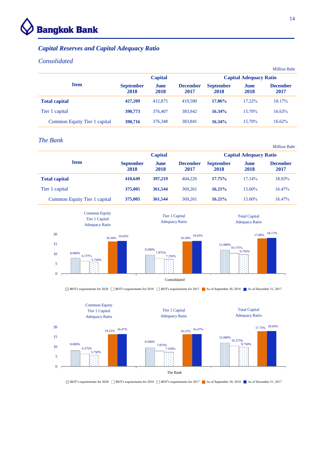

# *Capital Reserves and Capital Adequacy Ratio*

# *Consolidated*

|                              |                          |                |                         |                          |                               | <b>Million Baht</b>     |  |
|------------------------------|--------------------------|----------------|-------------------------|--------------------------|-------------------------------|-------------------------|--|
|                              |                          | <b>Capital</b> |                         |                          | <b>Capital Adequacy Ratio</b> |                         |  |
| <b>Item</b>                  | <b>September</b><br>2018 | June<br>2018   | <b>December</b><br>2017 | <b>September</b><br>2018 | June<br>2018                  | <b>December</b><br>2017 |  |
| <b>Total capital</b>         | 427,209                  | 412,875        | 419.580                 | 17.86%                   | 17.22%                        | 18.17%                  |  |
| Tier 1 capital               | 390,773                  | 376,407        | 383,942                 | 16.34%                   | 15.70%                        | 16.63%                  |  |
| Common Equity Tier 1 capital | 390,716                  | 376,348        | 383,841                 | 16.34%                   | 15.70%                        | $16.62\%$               |  |

# *The Bank*

|                              |                          | <b>Capital</b> |                         |                          | <b>Capital Adequacy Ratio</b> |                         |  |  |
|------------------------------|--------------------------|----------------|-------------------------|--------------------------|-------------------------------|-------------------------|--|--|
| <b>Item</b>                  | <b>September</b><br>2018 | June<br>2018   | <b>December</b><br>2017 | <b>September</b><br>2018 | June<br>2018                  | <b>December</b><br>2017 |  |  |
| <b>Total capital</b>         | 410.649                  | 397,219        | 404.226                 | 17.75%                   | 17.14%                        | 18.03%                  |  |  |
| Tier 1 capital               | 375,005                  | 361,544        | 369,261                 | $16.21\%$                | $15.60\%$                     | $16.47\%$               |  |  |
| Common Equity Tier 1 capital | 375,005                  | 361,544        | 369,261                 | $16.21\%$                | $15.60\%$                     | 16.47%                  |  |  |



BOT's requirements for 2020  $\Box$  BOT's requirements for 2018  $\Box$  BOT's requirements for 2017 As of September 30, 2018 As of December 31, 2017



BOT's requirements for 2020  $\Box$  BOT's requirements for 2018  $\Box$  BOT's requirements for 2017 As of September 30, 2018 As of December 31, 2017

Million Baht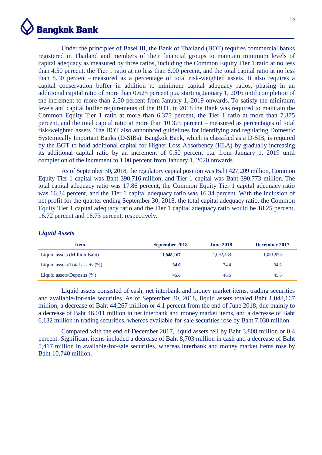

Under the principles of Basel III, the Bank of Thailand (BOT) requires commercial banks registered in Thailand and members of their financial groups to maintain minimum levels of capital adequacy as measured by three ratios, including the Common Equity Tier 1 ratio at no less than 4.50 percent, the Tier 1 ratio at no less than 6.00 percent, and the total capital ratio at no less than 8.50 percent – measured as a percentage of total risk-weighted assets. It also requires a capital conservation buffer in addition to minimum capital adequacy ratios, phasing in an additional capital ratio of more than 0.625 percent p.a. starting January 1, 2016 until completion of the increment to more than 2.50 percent from January 1, 2019 onwards. To satisfy the minimum levels and capital buffer requirements of the BOT, in 2018 the Bank was required to maintain the Common Equity Tier 1 ratio at more than 6.375 percent, the Tier 1 ratio at more than 7.875 percent, and the total capital ratio at more than 10.375 percent – measured as percentages of total risk-weighted assets. The BOT also announced guidelines for identifying and regulating Domestic Systemically Important Banks (D-SIBs). Bangkok Bank, which is classified as a D-SIB, is required by the BOT to hold additional capital for Higher Loss Absorbency (HLA) by gradually increasing its additional capital ratio by an increment of 0.50 percent p.a. from January 1, 2019 until completion of the increment to 1.00 percent from January 1, 2020 onwards.

As of September 30, 2018, the regulatory capital position was Baht 427,209 million, Common Equity Tier 1 capital was Baht 390,716 million, and Tier 1 capital was Baht 390,773 million. The total capital adequacy ratio was 17.86 percent, the Common Equity Tier 1 capital adequacy ratio was 16.34 percent, and the Tier 1 capital adequacy ratio was 16.34 percent. With the inclusion of net profit for the quarter ending September 30, 2018, the total capital adequacy ratio, the Common Equity Tier 1 capital adequacy ratio and the Tier 1 capital adequacy ratio would be 18.25 percent, 16.72 percent and 16.73 percent, respectively.

# *Liquid Assets*

| <b>Item</b>                        | September 2018 | <b>June 2018</b> | December 2017 |
|------------------------------------|----------------|------------------|---------------|
| Liquid assets (Million Baht)       | 1,048,167      | 1.092.434        | 1,051,975     |
| Liquid assets/Total assets $(\% )$ | 34.0           | 34.4             | 34.2          |
| Liquid assets/Deposits $(\% )$     | 45.6           | 46.5             | 45.5          |

Liquid assets consisted of cash, net interbank and money market items, trading securities and available-for-sale securities. As of September 30, 2018, liquid assets totaled Baht 1,048,167 million, a decrease of Baht 44,267 million or 4.1 percent from the end of June 2018, due mainly to a decrease of Baht 46,011 million in net interbank and money market items, and a decrease of Baht 6,132 million in trading securities, whereas available-for-sale securities rose by Baht 7,030 million.

Compared with the end of December 2017, liquid assets fell by Baht 3,808 million or 0.4 percent. Significant items included a decrease of Baht 8,703 million in cash and a decrease of Baht 5,417 million in available-for-sale securities, whereas interbank and money market items rose by Baht 10,740 million.